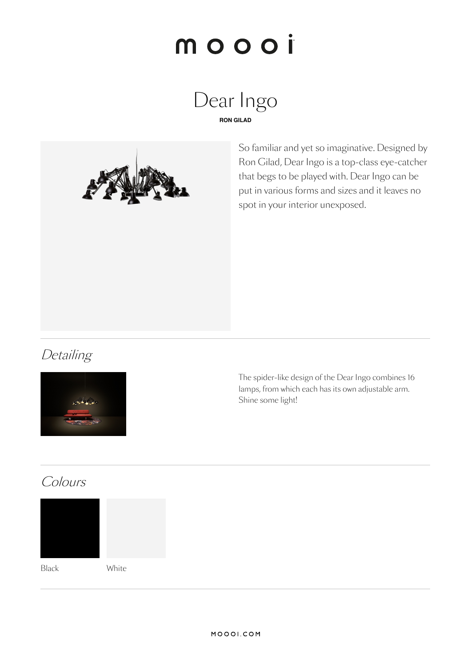# moooi





So familiar and yet so imaginative. Designed by Ron Gilad, Dear Ingo is a top-class eye-catcher that begs to be played with. Dear Ingo can be put in various forms and sizes and it leaves no spot in your interior unexposed.

### **Detailing**



The spider-like design of the Dear Ingo combines 16 lamps, from which each has its own adjustable arm. Shine some light!

### Colours



Black White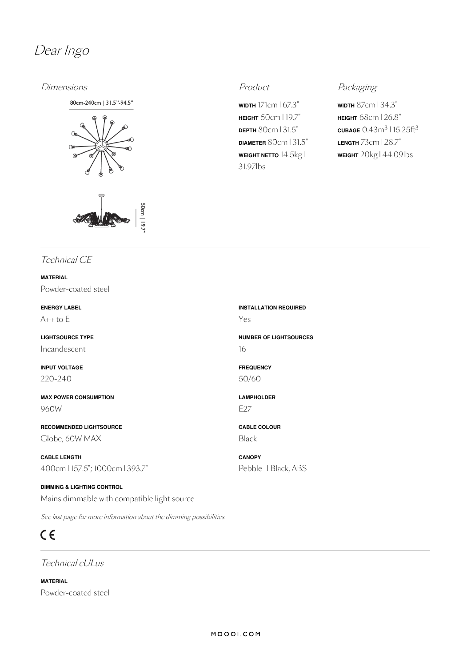

### Dimensions **Product** Product **Product** Packaging

80cm-240cm | 31.5"-94.5"





**WIDTH** 171cm | 67.3" **HEIGHT** 50cm | 19.7" **DEPTH** 80cm | 31.5" **DIAMETER** 80cm | 31.5" **WEIGHT NETTO** 14.5kg | 31.97lbs

**WIDTH** 87cm | 34.3" **HEIGHT** 68cm |26.8"  $\frac{\text{CUBAGE}}{0.43}$ m $\frac{3}{15.25}$ ft $\frac{3}{3}$ **LENGTH** 73cm | 28.7" **WEIGHT** 20kg | 44.09lbs

### Technical CE

**MATERIAL** Powder-coated steel

**ENERGY LABEL**  $A++$  to  $E$ 

**LIGHTSOURCE TYPE** Incandescent

**INPUT VOLTAGE** 220-240

**MAX POWER CONSUMPTION** 960W

**RECOMMENDED LIGHTSOURCE** Globe, 60W MAX

**CABLE LENGTH** 400cm | 157.5"; 1000cm | 393.7"

**DIMMING & LIGHTING CONTROL** Mains dimmable with compatible light source

See last page for more information about the dimming possibilities.

### $C \in$

Technical cULus

**MATERIAL** Powder-coated steel **INSTALLATION REQUIRED** Yes

**NUMBER OF LIGHTSOURCES** 16

**FREQUENCY** 50/60

**LAMPHOLDER** E27

**CABLE COLOUR** Black

**CANOPY** Pebble II Black, ABS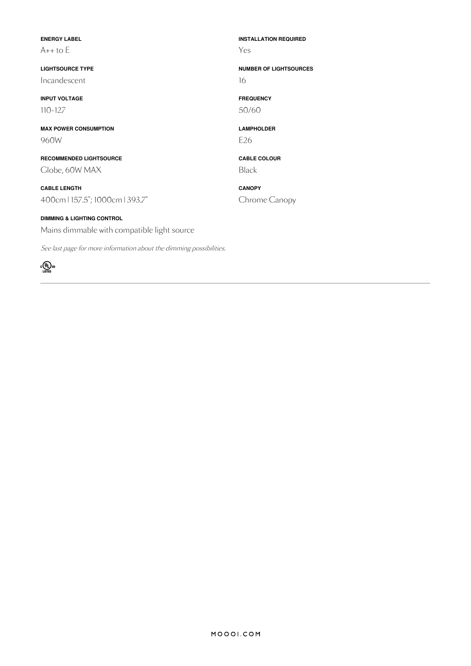| <b>ENERGY LABEL</b><br>$A++$ to $E$                                 | <b>INSTALLATION REQUIRED</b><br>Yes |
|---------------------------------------------------------------------|-------------------------------------|
| <b>LIGHTSOURCE TYPE</b><br>Incandescent                             | <b>NUMBER OF LIGHTSOURCES</b><br>16 |
| <b>INPUT VOLTAGE</b>                                                | <b>FREQUENCY</b>                    |
| $110 - 127$                                                         | 50/60                               |
| <b>MAX POWER CONSUMPTION</b>                                        | <b>LAMPHOLDER</b>                   |
| 960W                                                                | E <sub>26</sub>                     |
| <b>RECOMMENDED LIGHTSOURCE</b>                                      | <b>CABLE COLOUR</b>                 |
| Clobe, 60W MAX                                                      | <b>Black</b>                        |
| <b>CABLE LENGTH</b>                                                 | <b>CANOPY</b>                       |
| 400cm   157.5"; 1000cm   393.7"                                     | Chrome Canopy                       |
| <b>DIMMING &amp; LIGHTING CONTROL</b>                               |                                     |
| Mains dimmable with compatible light source                         |                                     |
| See last page for more information about the dimming possibilities. |                                     |

MOOOI.COM

 $\sum_{\text{LISTED}}$ us